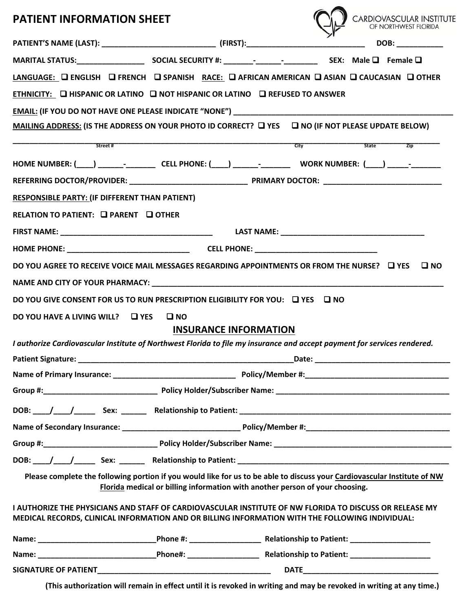## **PATIENT INFORMATION SHEET**

| <b>PATIENT INFORMATION SHEET</b>                                                                                                                                                                                              |                                                                              |                              |                                                         | CARDIOVASCULAR INSTITUTE                                                                                       |
|-------------------------------------------------------------------------------------------------------------------------------------------------------------------------------------------------------------------------------|------------------------------------------------------------------------------|------------------------------|---------------------------------------------------------|----------------------------------------------------------------------------------------------------------------|
|                                                                                                                                                                                                                               |                                                                              |                              |                                                         | <b>DOB:</b>                                                                                                    |
|                                                                                                                                                                                                                               |                                                                              |                              |                                                         |                                                                                                                |
| LANGUAGE: Q ENGLISH Q FRENCH Q SPANISH RACE: Q AFRICAN AMERICAN Q ASIAN Q CAUCASIAN Q OTHER                                                                                                                                   |                                                                              |                              |                                                         |                                                                                                                |
| ETHNICITY: Q HISPANIC OR LATINO Q NOT HISPANIC OR LATINO Q REFUSED TO ANSWER                                                                                                                                                  |                                                                              |                              |                                                         |                                                                                                                |
| EMAIL: (IF YOU DO NOT HAVE ONE PLEASE INDICATE "NONE") __________________________                                                                                                                                             |                                                                              |                              |                                                         |                                                                                                                |
| MAILING ADDRESS: (IS THE ADDRESS ON YOUR PHOTO ID CORRECT? □ YES □ NO (IF NOT PLEASE UPDATE BELOW)                                                                                                                            |                                                                              |                              |                                                         |                                                                                                                |
| Street #                                                                                                                                                                                                                      |                                                                              |                              | $\overline{\phantom{a}}$ State $\overline{\phantom{a}}$ | $\overline{z}$ ip                                                                                              |
| HOME NUMBER: (____) _______-__________CELL PHONE: (____) _______-________________ WORK NUMBER: (____) _____-_______                                                                                                           |                                                                              |                              |                                                         |                                                                                                                |
|                                                                                                                                                                                                                               |                                                                              |                              |                                                         |                                                                                                                |
| <b>RESPONSIBLE PARTY: (IF DIFFERENT THAN PATIENT)</b>                                                                                                                                                                         |                                                                              |                              |                                                         |                                                                                                                |
| RELATION TO PATIENT: Q PARENT Q OTHER                                                                                                                                                                                         |                                                                              |                              |                                                         |                                                                                                                |
|                                                                                                                                                                                                                               |                                                                              |                              |                                                         |                                                                                                                |
|                                                                                                                                                                                                                               |                                                                              |                              |                                                         |                                                                                                                |
| DO YOU AGREE TO RECEIVE VOICE MAIL MESSAGES REGARDING APPOINTMENTS OR FROM THE NURSE? □ YES                                                                                                                                   |                                                                              |                              |                                                         | $\square$ NO                                                                                                   |
| NAME AND CITY OF YOUR PHARMACY: NAME AND THE RESIDENCE OF A STATE OF STATE OF STATE OF STATE OF STATE OF STATE OF STATE OF STATE OF STATE OF STATE OF STATE OF STATE OF STATE OF STATE OF STATE OF STATE OF STATE OF STATE OF |                                                                              |                              |                                                         |                                                                                                                |
| DO YOU GIVE CONSENT FOR US TO RUN PRESCRIPTION ELIGIBILITY FOR YOU: □ YES □ NO                                                                                                                                                |                                                                              |                              |                                                         |                                                                                                                |
| DO YOU HAVE A LIVING WILL? $\Box$ YES                                                                                                                                                                                         | $\square$ NO                                                                 |                              |                                                         |                                                                                                                |
|                                                                                                                                                                                                                               |                                                                              | <b>INSURANCE INFORMATION</b> |                                                         |                                                                                                                |
| I authorize Cardiovascular Institute of Northwest Florida to file my insurance and accept payment for services rendered.                                                                                                      |                                                                              |                              |                                                         |                                                                                                                |
|                                                                                                                                                                                                                               |                                                                              |                              |                                                         | Date: National Contract of the Contract of the Contract of the Contract of the Contract of the Contract of the |
|                                                                                                                                                                                                                               |                                                                              |                              |                                                         |                                                                                                                |
|                                                                                                                                                                                                                               |                                                                              |                              |                                                         |                                                                                                                |
|                                                                                                                                                                                                                               |                                                                              |                              |                                                         |                                                                                                                |
|                                                                                                                                                                                                                               |                                                                              |                              |                                                         |                                                                                                                |
|                                                                                                                                                                                                                               |                                                                              |                              |                                                         |                                                                                                                |
| DOB: //// Sex: _____ Relationship to Patient: ___________________________________                                                                                                                                             |                                                                              |                              |                                                         |                                                                                                                |
| Please complete the following portion if you would like for us to be able to discuss your Cardiovascular Institute of NW                                                                                                      | Florida medical or billing information with another person of your choosing. |                              |                                                         |                                                                                                                |
| I AUTHORIZE THE PHYSICIANS AND STAFF OF CARDIOVASCULAR INSTITUTE OF NW FLORIDA TO DISCUSS OR RELEASE MY<br>MEDICAL RECORDS, CLINICAL INFORMATION AND OR BILLING INFORMATION WITH THE FOLLOWING INDIVIDUAL:                    |                                                                              |                              |                                                         |                                                                                                                |
|                                                                                                                                                                                                                               |                                                                              |                              |                                                         |                                                                                                                |
|                                                                                                                                                                                                                               |                                                                              |                              |                                                         |                                                                                                                |
|                                                                                                                                                                                                                               |                                                                              |                              |                                                         |                                                                                                                |

(This authorization will remain in effect until it is revoked in writing and may be revoked in writing at any time.)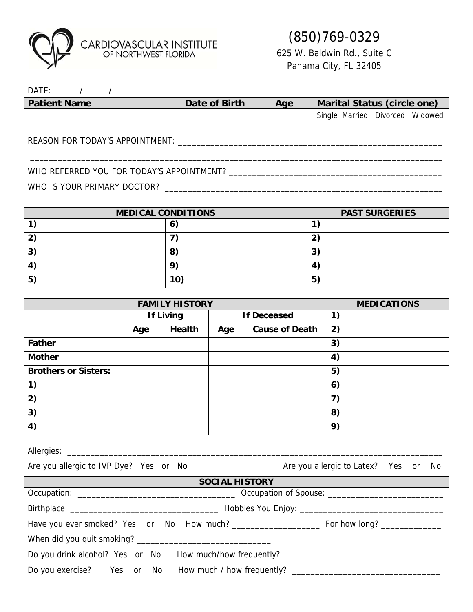

# (850)769-0329

625 W. Baldwin Rd., Suite C Panama City, FL 32405

| <b>DATE</b>         |               |     |                                       |
|---------------------|---------------|-----|---------------------------------------|
| <b>Patient Name</b> | Date of Birth | Age | Marital Status (circle one)           |
|                     |               |     | Single Married<br>Widowed<br>Divorced |

\_\_\_\_\_\_\_\_\_\_\_\_\_\_\_\_\_\_\_\_\_\_\_\_\_\_\_\_\_\_\_\_\_\_\_\_\_\_\_\_\_\_\_\_\_\_\_\_\_\_\_\_\_\_\_\_\_\_\_\_\_\_\_\_\_\_\_\_\_\_\_\_\_\_\_\_\_\_\_\_\_\_\_\_\_\_\_\_\_

REASON FOR TODAY'S APPOINTMENT: \_\_\_\_\_\_\_\_\_\_\_\_\_\_\_\_\_\_\_\_\_\_\_\_\_\_\_\_\_\_\_\_\_\_\_\_\_\_\_\_\_\_\_\_\_\_\_\_\_\_\_\_\_\_\_\_\_

### WHO REFERRED YOU FOR TODAY'S APPOINTMENT? \_\_\_\_\_\_\_\_\_\_\_\_\_\_\_\_\_\_\_\_\_\_\_\_\_\_\_\_\_\_\_\_\_\_\_\_\_\_\_\_\_\_\_\_\_\_

WHO IS YOUR PRIMARY DOCTOR? \_\_\_\_\_\_\_\_\_\_\_\_\_\_\_\_\_\_\_\_\_\_\_\_\_\_\_\_\_\_\_\_\_\_\_\_\_\_\_\_\_\_\_\_\_\_\_\_\_\_\_\_\_\_\_\_\_\_\_\_

| <b>MEDICAL CONDITIONS</b> |     | <b>PAST SURGERIES</b> |
|---------------------------|-----|-----------------------|
|                           | O   |                       |
| כי                        |     |                       |
| <u> ว</u><br>د            | 8   | ີ<br>P                |
|                           | O,  | 4                     |
| 5 <sup>2</sup>            | 10) | $5^{\circ}$           |

| <b>FAMILY HISTORY</b>       |                  |               | <b>MEDICATIONS</b> |                       |                                                |
|-----------------------------|------------------|---------------|--------------------|-----------------------|------------------------------------------------|
|                             | <b>If Living</b> |               | <b>If Deceased</b> |                       | $\left( \begin{matrix} 1 \end{matrix} \right)$ |
|                             | Age              | <b>Health</b> | Age                | <b>Cause of Death</b> | 2)                                             |
| <b>Father</b>               |                  |               |                    |                       | 3)                                             |
| <b>Mother</b>               |                  |               |                    |                       | 4)                                             |
| <b>Brothers or Sisters:</b> |                  |               |                    |                       | 5)                                             |
| 1)                          |                  |               |                    |                       | 6)                                             |
| 2)                          |                  |               |                    |                       | $\mathbf{7}$                                   |
| 3)                          |                  |               |                    |                       | 8)                                             |
| 4)                          |                  |               |                    |                       | 9)                                             |

| Are you allergic to IVP Dye? Yes or No                                            | Are you allergic to Latex? Yes or No |  |  |  |  |
|-----------------------------------------------------------------------------------|--------------------------------------|--|--|--|--|
| <b>SOCIAL HISTORY</b>                                                             |                                      |  |  |  |  |
|                                                                                   |                                      |  |  |  |  |
|                                                                                   |                                      |  |  |  |  |
|                                                                                   |                                      |  |  |  |  |
|                                                                                   |                                      |  |  |  |  |
| Do you drink alcohol? Yes or No How much/how frequently? ________________________ |                                      |  |  |  |  |

Do you exercise? Yes or No How much / how frequently? \_\_\_\_\_\_\_\_\_\_\_\_\_\_\_\_\_\_\_\_\_\_\_\_\_\_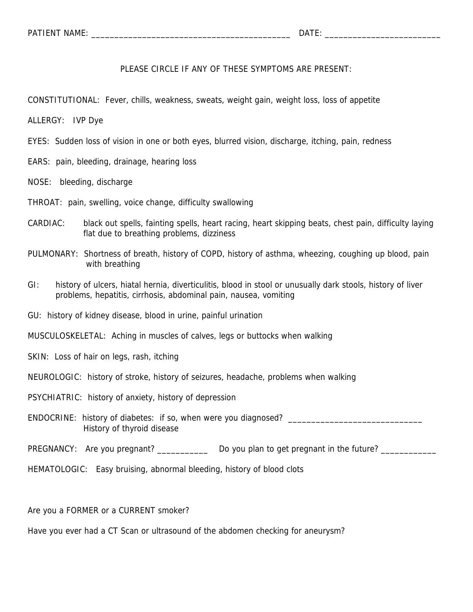PLEASE CIRCLE IF ANY OF THESE SYMPTOMS ARE PRESENT:

CONSTITUTIONAL: Fever, chills, weakness, sweats, weight gain, weight loss, loss of appetite

ALLERGY: IVP Dye

EYES: Sudden loss of vision in one or both eyes, blurred vision, discharge, itching, pain, redness

EARS: pain, bleeding, drainage, hearing loss

NOSE: bleeding, discharge

THROAT: pain, swelling, voice change, difficulty swallowing

- CARDIAC: black out spells, fainting spells, heart racing, heart skipping beats, chest pain, difficulty laying flat due to breathing problems, dizziness
- PULMONARY: Shortness of breath, history of COPD, history of asthma, wheezing, coughing up blood, pain with breathing
- GI: history of ulcers, hiatal hernia, diverticulitis, blood in stool or unusually dark stools, history of liver problems, hepatitis, cirrhosis, abdominal pain, nausea, vomiting
- GU: history of kidney disease, blood in urine, painful urination

MUSCULOSKELETAL: Aching in muscles of calves, legs or buttocks when walking

SKIN: Loss of hair on legs, rash, itching

NEUROLOGIC: history of stroke, history of seizures, headache, problems when walking

PSYCHIATRIC: history of anxiety, history of depression

ENDOCRINE: history of diabetes: if so, when were you diagnosed? \_\_\_\_\_\_\_\_\_\_\_\_\_\_\_\_\_\_\_\_\_\_\_\_\_\_\_\_\_ History of thyroid disease

PREGNANCY: Are you pregnant? \_\_\_\_\_\_\_\_\_\_\_\_\_ Do you plan to get pregnant in the future? \_\_\_\_\_\_\_\_\_\_\_\_

HEMATOLOGIC: Easy bruising, abnormal bleeding, history of blood clots

Are you a FORMER or a CURRENT smoker?

Have you ever had a CT Scan or ultrasound of the abdomen checking for aneurysm?